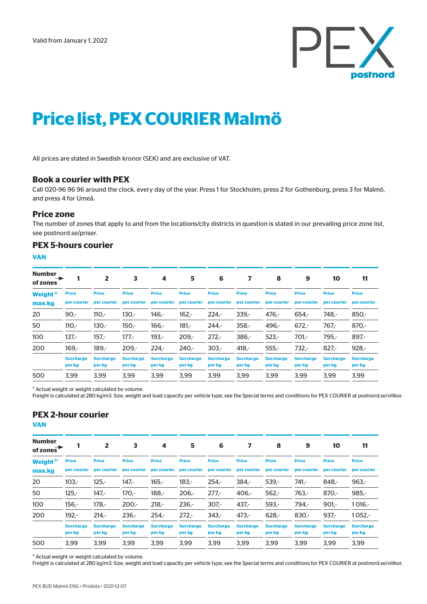

# **Price list, PEX COURIER Malmö**

All prices are stated in Swedish kronor (SEK) and are exclusive of VAT.

### **Book a courier with PEX**

Call 020-96 96 96 around the clock, every day of the year. Press 1 for Stockholm, press 2 for Gothenburg, press 3 for Malmö, and press 4 for Umeå.

#### **Price zone**

The number of zones that apply to and from the locations/city districts in question is stated in our prevailing price zone list, see postnord.se/priser.

#### **PEX 5-hours courier**

**VAN**

| <b>Number</b><br>of zones     |                             | $\overline{2}$              | 3                           | 4                           | 5                           | 6                           | 7                           | 8                           | 9                           | 10                          | 11                          |
|-------------------------------|-----------------------------|-----------------------------|-----------------------------|-----------------------------|-----------------------------|-----------------------------|-----------------------------|-----------------------------|-----------------------------|-----------------------------|-----------------------------|
| Weight <sup>1</sup><br>max.kg | <b>Price</b><br>per courier | <b>Price</b><br>per courier | <b>Price</b><br>per courier | <b>Price</b><br>per courier | <b>Price</b><br>per courier | <b>Price</b><br>per courier | <b>Price</b><br>per courier | <b>Price</b><br>per courier | <b>Price</b><br>per courier | <b>Price</b><br>per courier | <b>Price</b><br>per courier |
| 20                            | $90 -$                      | $110 -$                     | $130 -$                     | $146 -$                     | $162 -$                     | $224 -$                     | $339 -$                     | $476. -$                    | $654. -$                    | $748. -$                    | $850 -$                     |
| 50                            | $110 -$                     | $130 -$                     | $150 -$                     | $166. -$                    | $181 -$                     | $244 -$                     | $358 -$                     | $496 -$                     | $672. -$                    | $767 -$                     | $870 -$                     |
| 100                           | $137 -$                     | $157 -$                     | $177 -$                     | $193 -$                     | $209 -$                     | $272 -$                     | $386 -$                     | $523 -$                     | $701 -$                     | $795. -$                    | $897 -$                     |
| 200                           | $169. -$                    | $189. -$                    | $209 -$                     | $224 -$                     | $240 -$                     | $303 -$                     | $418. -$                    | $555 -$                     | $732 -$                     | $827 -$                     | $928 -$                     |
|                               | <b>Surcharge</b><br>per kg  | <b>Surcharge</b><br>per kg  | <b>Surcharge</b><br>per kg  | <b>Surcharge</b><br>per kg  | <b>Surcharge</b><br>per kg  | <b>Surcharge</b><br>per kg  | <b>Surcharge</b><br>per kg  | <b>Surcharge</b><br>per kg  | <b>Surcharge</b><br>per kg  | <b>Surcharge</b><br>per kg  | <b>Surcharge</b><br>per kg  |
| 500                           | 3.99                        | 3.99                        | 3.99                        | 3.99                        | 3.99                        | 3.99                        | 3.99                        | 3.99                        | 3.99                        | 3.99                        | 3.99                        |

<sup>1)</sup> Actual weight or weight calculated by volume.

Freight is calculated at 280 kg/m3. Size, weight and load capacity per vehicle type, see the Special terms and conditions for PEX COURIER at postnord.se/villkor.

## **PEX 2-hour courier**

**VAN**

| <b>Number</b><br>of zones     |                             | $\mathbf{2}$                | 3                           | 4                           | 5                           | 6                           |                             | 8                           | 9                           | 10                          | 11                          |
|-------------------------------|-----------------------------|-----------------------------|-----------------------------|-----------------------------|-----------------------------|-----------------------------|-----------------------------|-----------------------------|-----------------------------|-----------------------------|-----------------------------|
| Weight <sup>1</sup><br>max.kg | <b>Price</b><br>per courier | <b>Price</b><br>per courier | <b>Price</b><br>per courier | <b>Price</b><br>per courier | <b>Price</b><br>per courier | <b>Price</b><br>per courier | <b>Price</b><br>per courier | <b>Price</b><br>per courier | <b>Price</b><br>per courier | <b>Price</b><br>per courier | <b>Price</b><br>per courier |
| 20                            | $103 -$                     | $125 -$                     | $147 -$                     | $165 -$                     | $183 -$                     | $254 -$                     | $384 -$                     | $539 -$                     | $741 -$                     | $848. -$                    | $963 -$                     |
| 50                            | $125. -$                    | $147 -$                     | $170 -$                     | $188 -$                     | $206 -$                     | $277 -$                     | $406. -$                    | $562 -$                     | $763. -$                    | $870 -$                     | $985 -$                     |
| 100                           | $156 -$                     | $178 -$                     | $200 -$                     | $218 -$                     | $236 -$                     | $307 -$                     | $437 -$                     | $593 -$                     | $794 -$                     | $901 -$                     | $1016. -$                   |
| 200                           | $192 -$                     | $214 -$                     | $236 -$                     | $254. -$                    | $272 -$                     | $343 -$                     | $473 -$                     | $628. -$                    | $830 -$                     | $937 -$                     | $1052 -$                    |
|                               | <b>Surcharge</b><br>per kg  | <b>Surcharge</b><br>per kg  | <b>Surcharge</b><br>per kg  | <b>Surcharge</b><br>per kg  | <b>Surcharge</b><br>per kg  | <b>Surcharge</b><br>per kg  | <b>Surcharge</b><br>per kg  | <b>Surcharge</b><br>per kg  | <b>Surcharge</b><br>per kg  | <b>Surcharge</b><br>per kg  | <b>Surcharge</b><br>per kg  |
| 500                           | 3.99                        | 3.99                        | 3.99                        | 3.99                        | 3.99                        | 3.99                        | 3.99                        | 3.99                        | 3.99                        | 3.99                        | 3.99                        |

 $1)$  Actual weight or weight calculated by volume.

Freight is calculated at 280 kg/m3. Size, weight and load capacity per vehicle type, see the Special terms and conditions for PEX COURIER at postnord.se/villkor.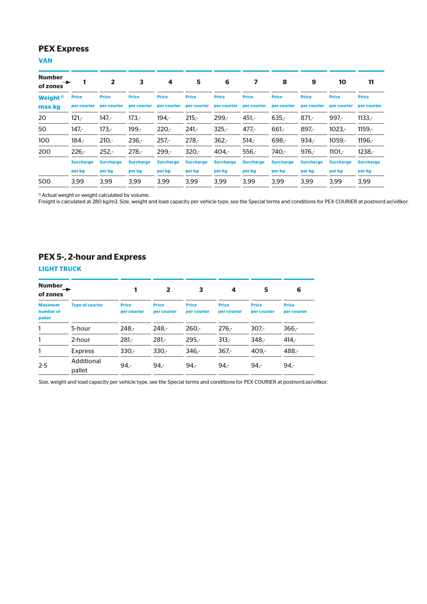### **PEX Express**

### **VAN**

| <b>Number</b><br>and the set<br>of zones |                             | $\overline{2}$              | 3                           | 4                           | 5                | 6                |                                                     | 8                           | 9                           | 10                          | 11                          |
|------------------------------------------|-----------------------------|-----------------------------|-----------------------------|-----------------------------|------------------|------------------|-----------------------------------------------------|-----------------------------|-----------------------------|-----------------------------|-----------------------------|
| Weight <sup>1</sup><br>max.kg            | <b>Price</b><br>per courier | <b>Price</b><br>per courier | <b>Price</b><br>per courier | <b>Price</b><br>per courier | <b>Price</b>     | <b>Price</b>     | <b>Price</b><br>per courier per courier per courier | <b>Price</b><br>per courier | <b>Price</b><br>per courier | <b>Price</b><br>per courier | <b>Price</b><br>per courier |
| 20                                       | $121 -$                     | $147 -$                     | $173. -$                    | $194 -$                     | $215 -$          | $299 -$          | $451 -$                                             | $635. -$                    | $871 -$                     | $997 -$                     | $1133. -$                   |
| 50                                       | $147 -$                     | $173. -$                    | $199. -$                    | $220 -$                     | $241 -$          | $325 -$          | $477. -$                                            | $661 -$                     | $897 -$                     | $1023. -$                   | $1159. -$                   |
| 100                                      | $184 -$                     | $210 -$                     | $236 -$                     | $257 -$                     | $278 -$          | $362 -$          | $514 -$                                             | $698 -$                     | $934. -$                    | $1059. -$                   | $1196. -$                   |
| 200                                      | $226 -$                     | $252 -$                     | $278. -$                    | $299 -$                     | $320 -$          | $404 -$          | $556. -$                                            | 740.-                       | $976. -$                    | $1101 -$                    | $1238. -$                   |
|                                          | <b>Surcharge</b>            | <b>Surcharge</b>            | <b>Surcharge</b>            | <b>Surcharge</b>            | <b>Surcharge</b> | <b>Surcharge</b> | <b>Surcharge</b>                                    | <b>Surcharge</b>            | <b>Surcharge</b>            | <b>Surcharge</b>            | <b>Surcharge</b>            |
|                                          | per kg                      | per kg                      | per kg                      | per kg                      | per kg           | per kg           | per kg                                              | per kg                      | per kg                      | per kg                      | per kg                      |
| 500                                      | 3.99                        | 3.99                        | 3.99                        | 3.99                        | 3.99             | 3.99             | 3.99                                                | 3.99                        | 3.99                        | 3.99                        | 3.99                        |

<sup>1)</sup> Actual weight or weight calculated by volume.

Freight is calculated at 280 kg/m3. Size, weight and load capacity per vehicle type, see the Special terms and conditions for PEX COURIER at postnord.se/villkor.

### **PEX 5-, 2-hour and Express**

#### **LIGHT TRUCK**

| Number<br>of zones                    |                        |                             | $\overline{2}$              | 3                           | 4                           | 5                           | 6                           |
|---------------------------------------|------------------------|-----------------------------|-----------------------------|-----------------------------|-----------------------------|-----------------------------|-----------------------------|
| <b>Maximum</b><br>number of<br>pallet | <b>Type of courier</b> | <b>Price</b><br>per courier | <b>Price</b><br>per courier | <b>Price</b><br>per courier | <b>Price</b><br>per courier | <b>Price</b><br>per courier | <b>Price</b><br>per courier |
| 1                                     | 5-hour                 | $248 -$                     | $248 -$                     | $260 -$                     | $276 -$                     | $307 -$                     | $366 -$                     |
| 1                                     | 2-hour                 | $281 -$                     | $281 -$                     | $295 -$                     | $313 -$                     | $348 -$                     | $414 -$                     |
| 1                                     | <b>Express</b>         | $330 -$                     | $330 -$                     | $346 -$                     | $367 -$                     | $409 -$                     | $488 -$                     |
| $2 - 5$                               | Additional<br>pallet   | $94 -$                      | 94.                         | $94 -$                      | $94 -$                      | $94 -$                      | $94 -$                      |

Size, weight and load capacity per vehicle type, see the Special terms and conditions for PEX COURIER at postnord.se/villkor.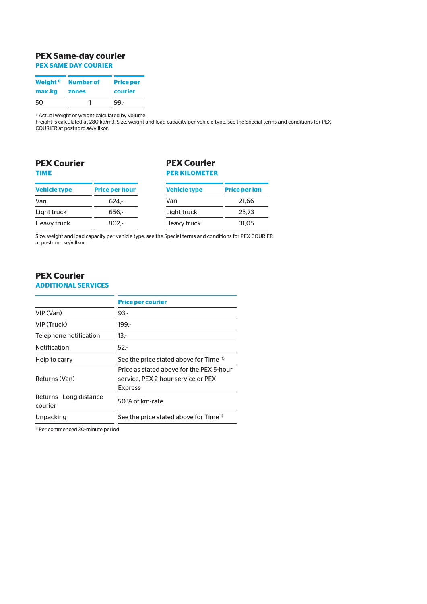# **PEX Same-day courier**

**PEX SAME DAY COURIER**

|        | Weight <sup>1</sup> Number of | <b>Price per</b> |
|--------|-------------------------------|------------------|
| max.kg | zones                         | courier          |
| 50     |                               | 99 -             |

<sup>1)</sup> Actual weight or weight calculated by volume.

Freight is calculated at 280 kg/m3. Size, weight and load capacity per vehicle type, see the Special terms and conditions for PEX COURIER at postnord.se/villkor.

### **PEX Courier TIME**

### **PEX Courier PER KILOMETER**

| <b>Vehicle type</b> | <b>Price per hour</b> | <b>Vehicle type</b> | <b>Price per km</b> |
|---------------------|-----------------------|---------------------|---------------------|
| Van                 | $624 -$               | Van                 | 21.66               |
| Light truck         | $656. -$              | Light truck         | 25.73               |
| Heavy truck         | $802 -$               | Heavy truck         | 31.05               |
|                     |                       |                     |                     |

Size, weight and load capacity per vehicle type, see the Special terms and conditions for PEX COURIER at postnord.se/villkor.

# **PEX Courier**

### **ADDITIONAL SERVICES**

|                                    | <b>Price per courier</b>                                                                         |
|------------------------------------|--------------------------------------------------------------------------------------------------|
| VIP (Van)                          | $93 -$                                                                                           |
| VIP (Truck)                        | $199 -$                                                                                          |
| Telephone notification             | 13,-                                                                                             |
| <b>Notification</b>                | $52 -$                                                                                           |
| Help to carry                      | See the price stated above for Time <sup>1)</sup>                                                |
| Returns (Van)                      | Price as stated above for the PFX 5-hour<br>service. PEX 2-hour service or PEX<br><b>Express</b> |
| Returns - Long distance<br>courier | 50 % of km-rate                                                                                  |
| Unpacking                          | See the price stated above for Time <sup>1</sup>                                                 |
|                                    |                                                                                                  |

1) Per commenced 30-minute period